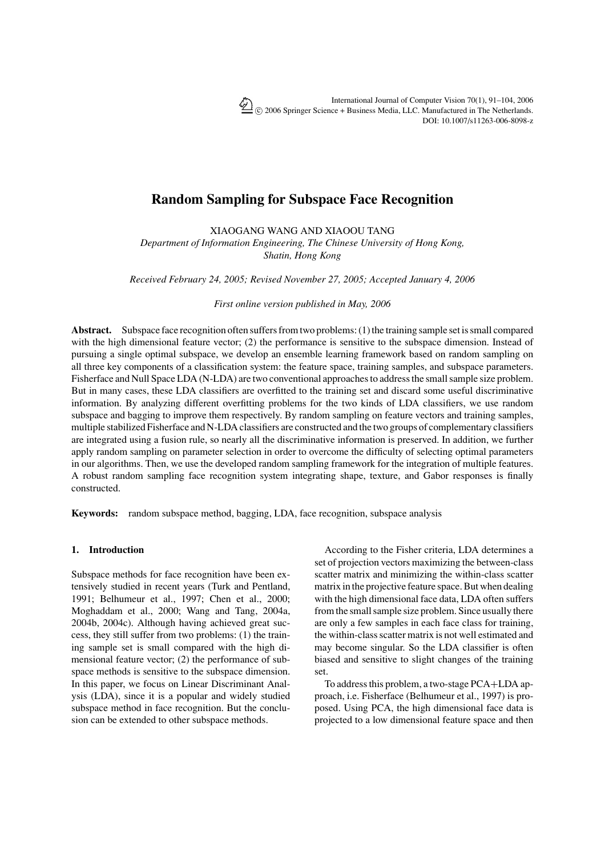# **Random Sampling for Subspace Face Recognition**

XIAOGANG WANG AND XIAOOU TANG

*Department of Information Engineering, The Chinese University of Hong Kong, Shatin, Hong Kong*

*Received February 24, 2005; Revised November 27, 2005; Accepted January 4, 2006*

*First online version published in May, 2006*

**Abstract.** Subspace face recognition often suffers from two problems: (1) the training sample set is small compared with the high dimensional feature vector; (2) the performance is sensitive to the subspace dimension. Instead of pursuing a single optimal subspace, we develop an ensemble learning framework based on random sampling on all three key components of a classification system: the feature space, training samples, and subspace parameters. Fisherface and Null Space LDA (N-LDA) are two conventional approaches to address the small sample size problem. But in many cases, these LDA classifiers are overfitted to the training set and discard some useful discriminative information. By analyzing different overfitting problems for the two kinds of LDA classifiers, we use random subspace and bagging to improve them respectively. By random sampling on feature vectors and training samples, multiple stabilized Fisherface and N-LDA classifiers are constructed and the two groups of complementary classifiers are integrated using a fusion rule, so nearly all the discriminative information is preserved. In addition, we further apply random sampling on parameter selection in order to overcome the difficulty of selecting optimal parameters in our algorithms. Then, we use the developed random sampling framework for the integration of multiple features. A robust random sampling face recognition system integrating shape, texture, and Gabor responses is finally constructed.

**Keywords:** random subspace method, bagging, LDA, face recognition, subspace analysis

# **1. Introduction**

Subspace methods for face recognition have been extensively studied in recent years (Turk and Pentland, 1991; Belhumeur et al., 1997; Chen et al., 2000; Moghaddam et al., 2000; Wang and Tang, 2004a, 2004b, 2004c). Although having achieved great success, they still suffer from two problems: (1) the training sample set is small compared with the high dimensional feature vector; (2) the performance of subspace methods is sensitive to the subspace dimension. In this paper, we focus on Linear Discriminant Analysis (LDA), since it is a popular and widely studied subspace method in face recognition. But the conclusion can be extended to other subspace methods.

According to the Fisher criteria, LDA determines a set of projection vectors maximizing the between-class scatter matrix and minimizing the within-class scatter matrix in the projective feature space. But when dealing with the high dimensional face data, LDA often suffers from the small sample size problem. Since usually there are only a few samples in each face class for training, the within-class scatter matrix is not well estimated and may become singular. So the LDA classifier is often biased and sensitive to slight changes of the training set.

To address this problem, a two-stage PCA+LDA approach, i.e. Fisherface (Belhumeur et al., 1997) is proposed. Using PCA, the high dimensional face data is projected to a low dimensional feature space and then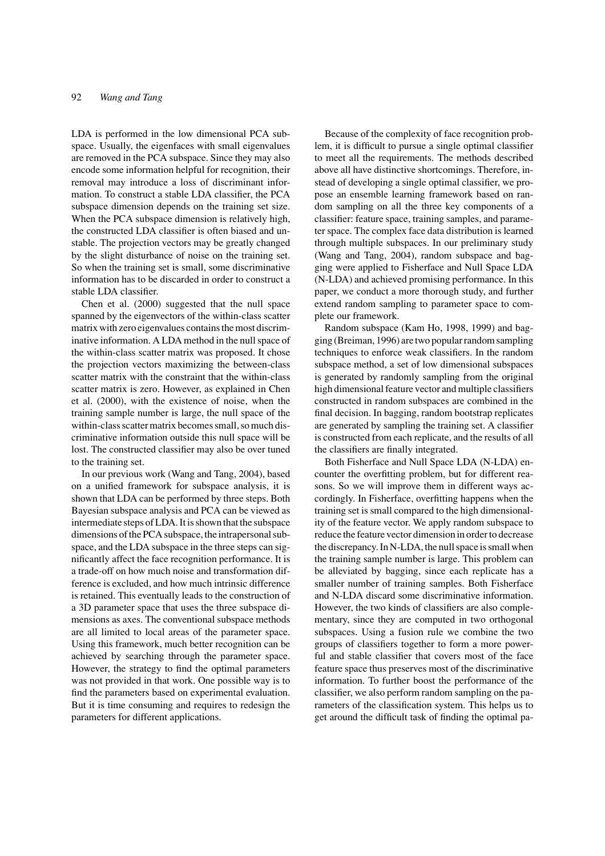LDA is performed in the low dimensional PCA subspace. Usually, the eigenfaces with small eigenvalues are removed in the PCA subspace. Since they may also encode some information helpful for recognition, their removal may introduce a loss of discriminant information. To construct a stable LDA classifier, the PCA subspace dimension depends on the training set size. When the PCA subspace dimension is relatively high, the constructed LDA classifier is often biased and unstable. The projection vectors may be greatly changed by the slight disturbance of noise on the training set. So when the training set is small, some discriminative information has to be discarded in order to construct a stable LDA classifier.

Chen et al. (2000) suggested that the null space spanned by the eigenvectors of the within-class scatter matrix with zero eigenvalues contains the most discriminative information. A LDA method in the null space of the within-class scatter matrix was proposed. It chose the projection vectors maximizing the between-class scatter matrix with the constraint that the within-class scatter matrix is zero. However, as explained in Chen et al. (2000), with the existence of noise, when the training sample number is large, the null space of the within-class scatter matrix becomes small, so much discriminative information outside this null space will be lost. The constructed classifier may also be over tuned to the training set.

In our previous work (Wang and Tang, 2004), based on a unified framework for subspace analysis, it is shown that LDA can be performed by three steps. Both Bayesian subspace analysis and PCA can be viewed as intermediate steps of LDA. It is shown that the subspace dimensions of the PCA subspace, the intrapersonal subspace, and the LDA subspace in the three steps can significantly affect the face recognition performance. It is a trade-off on how much noise and transformation difference is excluded, and how much intrinsic difference is retained. This eventually leads to the construction of a 3D parameter space that uses the three subspace dimensions as axes. The conventional subspace methods are all limited to local areas of the parameter space. Using this framework, much better recognition can be achieved by searching through the parameter space. However, the strategy to find the optimal parameters was not provided in that work. One possible way is to find the parameters based on experimental evaluation. But it is time consuming and requires to redesign the parameters for different applications.

Because of the complexity of face recognition problem, it is difficult to pursue a single optimal classifier to meet all the requirements. The methods described above all have distinctive shortcomings. Therefore, instead of developing a single optimal classifier, we propose an ensemble learning framework based on random sampling on all the three key components of a classifier: feature space, training samples, and parameter space. The complex face data distribution is learned through multiple subspaces. In our preliminary study (Wang and Tang, 2004), random subspace and bagging were applied to Fisherface and Null Space LDA (N-LDA) and achieved promising performance. In this paper, we conduct a more thorough study, and further extend random sampling to parameter space to complete our framework.

Random subspace (Kam Ho, 1998, 1999) and bagging (Breiman, 1996) are two popular random sampling techniques to enforce weak classifiers. In the random subspace method, a set of low dimensional subspaces is generated by randomly sampling from the original high dimensional feature vector and multiple classifiers constructed in random subspaces are combined in the final decision. In bagging, random bootstrap replicates are generated by sampling the training set. A classifier is constructed from each replicate, and the results of all the classifiers are finally integrated.

Both Fisherface and Null Space LDA (N-LDA) encounter the overfitting problem, but for different reasons. So we will improve them in different ways accordingly. In Fisherface, overfitting happens when the training set is small compared to the high dimensionality of the feature vector. We apply random subspace to reduce the feature vector dimension in order to decrease the discrepancy. In N-LDA, the null space is small when the training sample number is large. This problem can be alleviated by bagging, since each replicate has a smaller number of training samples. Both Fisherface and N-LDA discard some discriminative information. However, the two kinds of classifiers are also complementary, since they are computed in two orthogonal subspaces. Using a fusion rule we combine the two groups of classifiers together to form a more powerful and stable classifier that covers most of the face feature space thus preserves most of the discriminative information. To further boost the performance of the classifier, we also perform random sampling on the parameters of the classification system. This helps us to get around the difficult task of finding the optimal pa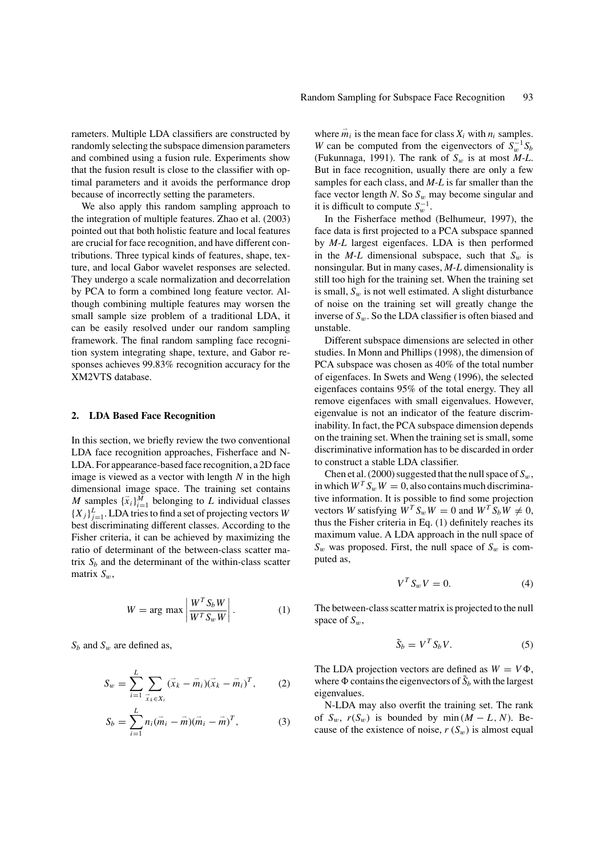rameters. Multiple LDA classifiers are constructed by randomly selecting the subspace dimension parameters and combined using a fusion rule. Experiments show that the fusion result is close to the classifier with optimal parameters and it avoids the performance drop because of incorrectly setting the parameters.

We also apply this random sampling approach to the integration of multiple features. Zhao et al. (2003) pointed out that both holistic feature and local features are crucial for face recognition, and have different contributions. Three typical kinds of features, shape, texture, and local Gabor wavelet responses are selected. They undergo a scale normalization and decorrelation by PCA to form a combined long feature vector. Although combining multiple features may worsen the small sample size problem of a traditional LDA, it can be easily resolved under our random sampling framework. The final random sampling face recognition system integrating shape, texture, and Gabor responses achieves 99.83% recognition accuracy for the XM2VTS database.

### **2. LDA Based Face Recognition**

In this section, we briefly review the two conventional LDA face recognition approaches, Fisherface and N-LDA. For appearance-based face recognition, a 2D face image is viewed as a vector with length *N* in the high dimensional image space. The training set contains *M* samples  $\{\vec{x}_i\}_{i=1}^M$  belonging to *L* individual classes  $\{X_j\}_{j=1}^L$ . LDA tries to find a set of projecting vectors *W* best discriminating different classes. According to the Fisher criteria, it can be achieved by maximizing the ratio of determinant of the between-class scatter matrix  $S_h$  and the determinant of the within-class scatter matrix  $S_w$ ,

$$
W = \arg \max \left| \frac{W^T S_b W}{W^T S_w W} \right|.
$$
 (1)

*Sb* and *S*<sup>w</sup> are defined as,

$$
S_w = \sum_{i=1}^{L} \sum_{\vec{x}_k \in X_i} (\vec{x}_k - \vec{m}_i)(\vec{x}_k - \vec{m}_i)^T, \qquad (2)
$$

$$
S_b = \sum_{i=1}^{L} n_i (\vec{m}_i - \vec{m}) (\vec{m}_i - \vec{m})^T, \qquad (3)
$$

where  $\vec{m}_i$  is the mean face for class  $X_i$  with  $n_i$  samples. *W* can be computed from the eigenvectors of  $S_w^{-1}S_b$ (Fukunnaga, 1991). The rank of  $S_w$  is at most  $M-L$ . But in face recognition, usually there are only a few samples for each class, and *M-L* is far smaller than the face vector length  $N$ . So  $S_w$  may become singular and it is difficult to compute  $S_w^{-1}$ .

In the Fisherface method (Belhumeur, 1997), the face data is first projected to a PCA subspace spanned by *M-L* largest eigenfaces. LDA is then performed in the  $M-L$  dimensional subspace, such that  $S_w$  is nonsingular. But in many cases, *M-L* dimensionality is still too high for the training set. When the training set is small,  $S_w$  is not well estimated. A slight disturbance of noise on the training set will greatly change the inverse of  $S_w$ . So the LDA classifier is often biased and unstable.

Different subspace dimensions are selected in other studies. In Monn and Phillips (1998), the dimension of PCA subspace was chosen as 40% of the total number of eigenfaces. In Swets and Weng (1996), the selected eigenfaces contains 95% of the total energy. They all remove eigenfaces with small eigenvalues. However, eigenvalue is not an indicator of the feature discriminability. In fact, the PCA subspace dimension depends on the training set. When the training set is small, some discriminative information has to be discarded in order to construct a stable LDA classifier.

Chen et al. (2000) suggested that the null space of  $S_w$ , in which  $W^T S_w W = 0$ , also contains much discriminative information. It is possible to find some projection vectors *W* satisfying  $W^T S_w W = 0$  and  $W^T S_b W \neq 0$ , thus the Fisher criteria in Eq. (1) definitely reaches its maximum value. A LDA approach in the null space of  $S_w$  was proposed. First, the null space of  $S_w$  is computed as,

$$
V^T S_w V = 0. \tag{4}
$$

The between-class scatter matrix is projected to the null space of  $S_w$ ,

$$
\tilde{S}_b = V^T S_b V. \tag{5}
$$

The LDA projection vectors are defined as  $W = V\Phi$ , where  $\Phi$  contains the eigenvectors of  $\tilde{S}_b$  with the largest eigenvalues.

N-LDA may also overfit the training set. The rank of  $S_w$ ,  $r(S_w)$  is bounded by min  $(M - L, N)$ . Because of the existence of noise,  $r(S_w)$  is almost equal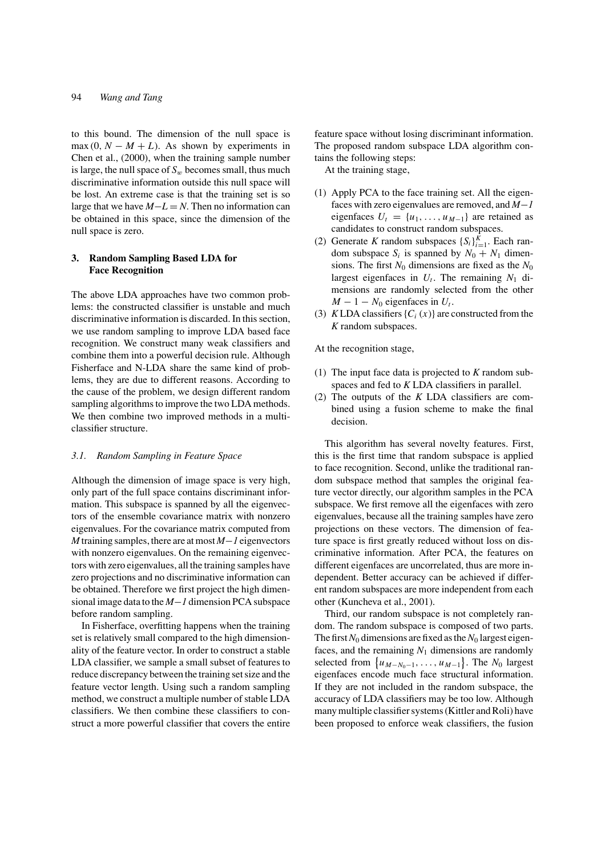to this bound. The dimension of the null space is max  $(0, N - M + L)$ . As shown by experiments in Chen et al., (2000), when the training sample number is large, the null space of  $S_w$  becomes small, thus much discriminative information outside this null space will be lost. An extreme case is that the training set is so large that we have *M*−*L* = *N*. Then no information can be obtained in this space, since the dimension of the null space is zero.

# **3. Random Sampling Based LDA for Face Recognition**

The above LDA approaches have two common problems: the constructed classifier is unstable and much discriminative information is discarded. In this section, we use random sampling to improve LDA based face recognition. We construct many weak classifiers and combine them into a powerful decision rule. Although Fisherface and N-LDA share the same kind of problems, they are due to different reasons. According to the cause of the problem, we design different random sampling algorithms to improve the two LDA methods. We then combine two improved methods in a multiclassifier structure.

### *3.1. Random Sampling in Feature Space*

Although the dimension of image space is very high, only part of the full space contains discriminant information. This subspace is spanned by all the eigenvectors of the ensemble covariance matrix with nonzero eigenvalues. For the covariance matrix computed from *M* training samples, there are at most *M*−*1* eigenvectors with nonzero eigenvalues. On the remaining eigenvectors with zero eigenvalues, all the training samples have zero projections and no discriminative information can be obtained. Therefore we first project the high dimensional image data to the *M*−*1* dimension PCA subspace before random sampling.

In Fisherface, overfitting happens when the training set is relatively small compared to the high dimensionality of the feature vector. In order to construct a stable LDA classifier, we sample a small subset of features to reduce discrepancy between the training set size and the feature vector length. Using such a random sampling method, we construct a multiple number of stable LDA classifiers. We then combine these classifiers to construct a more powerful classifier that covers the entire feature space without losing discriminant information. The proposed random subspace LDA algorithm contains the following steps:

At the training stage,

- (1) Apply PCA to the face training set. All the eigenfaces with zero eigenvalues are removed, and *M*−*1* eigenfaces  $U_t = \{u_1, \ldots, u_{M-1}\}\$ are retained as candidates to construct random subspaces.
- (2) Generate *K* random subspaces  $\{S_i\}_{i=1}^K$ . Each random subspace  $S_i$  is spanned by  $N_0 + N_1$  dimensions. The first  $N_0$  dimensions are fixed as the  $N_0$ largest eigenfaces in  $U_t$ . The remaining  $N_1$  dimensions are randomly selected from the other  $M - 1 - N_0$  eigenfaces in  $U_t$ .
- (3) *KLDA* classifiers  $\{C_i(x)\}\$ are constructed from the *K* random subspaces.

At the recognition stage,

- (1) The input face data is projected to *K* random subspaces and fed to *K* LDA classifiers in parallel.
- (2) The outputs of the *K* LDA classifiers are combined using a fusion scheme to make the final decision.

This algorithm has several novelty features. First, this is the first time that random subspace is applied to face recognition. Second, unlike the traditional random subspace method that samples the original feature vector directly, our algorithm samples in the PCA subspace. We first remove all the eigenfaces with zero eigenvalues, because all the training samples have zero projections on these vectors. The dimension of feature space is first greatly reduced without loss on discriminative information. After PCA, the features on different eigenfaces are uncorrelated, thus are more independent. Better accuracy can be achieved if different random subspaces are more independent from each other (Kuncheva et al., 2001).

Third, our random subspace is not completely random. The random subspace is composed of two parts. The first  $N_0$  dimensions are fixed as the  $N_0$  largest eigenfaces, and the remaining  $N_1$  dimensions are randomly selected from  $\{u_{M-N_0-1}, \ldots, u_{M-1}\}$ . The  $N_0$  largest eigenfaces encode much face structural information. If they are not included in the random subspace, the accuracy of LDA classifiers may be too low. Although many multiple classifier systems (Kittler and Roli) have been proposed to enforce weak classifiers, the fusion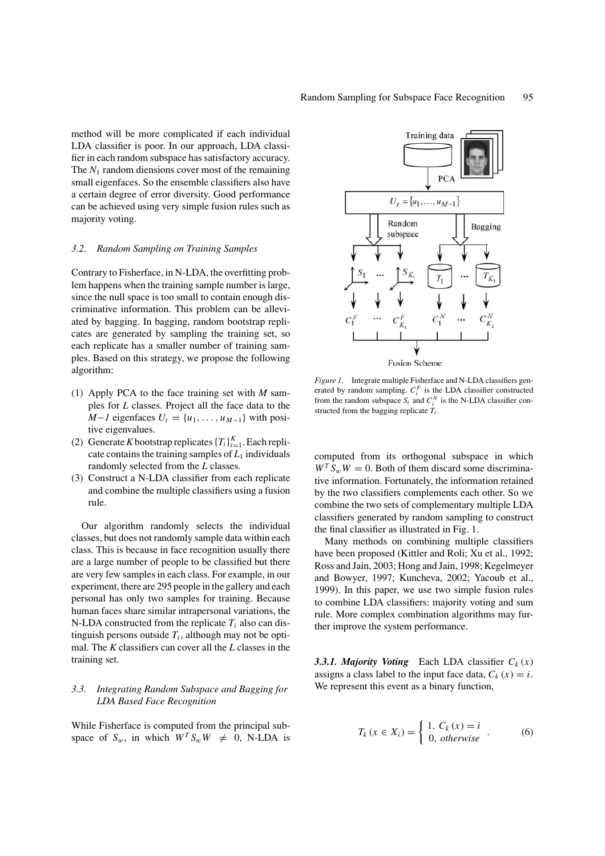method will be more complicated if each individual LDA classifier is poor. In our approach, LDA classifier in each random subspace has satisfactory accuracy. The  $N_1$  random diensions cover most of the remaining small eigenfaces. So the ensemble classifiers also have a certain degree of error diversity. Good performance can be achieved using very simple fusion rules such as majority voting.

### *3.2. Random Sampling on Training Samples*

Contrary to Fisherface, in N-LDA, the overfitting problem happens when the training sample number is large, since the null space is too small to contain enough discriminative information. This problem can be alleviated by bagging. In bagging, random bootstrap replicates are generated by sampling the training set, so each replicate has a smaller number of training samples. Based on this strategy, we propose the following algorithm:

- (1) Apply PCA to the face training set with *M* samples for *L* classes. Project all the face data to the *M*−*1* eigenfaces  $U_t = \{u_1, \ldots, u_{M-1}\}\$  with positive eigenvalues.
- (2) Generate *K* bootstrap replicates  $\{T_i\}_{i=1}^K$ . Each replicate contains the training samples of  $L_1$  individuals randomly selected from the *L* classes.
- (3) Construct a N-LDA classifier from each replicate and combine the multiple classifiers using a fusion rule.

Our algorithm randomly selects the individual classes, but does not randomly sample data within each class. This is because in face recognition usually there are a large number of people to be classified but there are very few samples in each class. For example, in our experiment, there are 295 people in the gallery and each personal has only two samples for training. Because human faces share similar intrapersonal variations, the N-LDA constructed from the replicate  $T_i$  also can distinguish persons outside  $T_i$ , although may not be optimal. The *K* classifiers can cover all the *L* classes in the training set.

# *3.3. Integrating Random Subspace and Bagging for LDA Based Face Recognition*

While Fisherface is computed from the principal subspace of  $S_w$ , in which  $W^T S_w W \neq 0$ , N-LDA is



*Figure 1*. Integrate multiple Fisherface and N-LDA classifiers generated by random sampling.  $C_i^F$  is the LDA classifier constructed from the random subspace  $S_i$  and  $C_i^N$  is the N-LDA classifier constructed from the bagging replicate  $T_i$ .

computed from its orthogonal subspace in which  $W^T S_w W = 0$ . Both of them discard some discriminative information. Fortunately, the information retained by the two classifiers complements each other. So we combine the two sets of complementary multiple LDA classifiers generated by random sampling to construct the final classifier as illustrated in Fig. 1.

Many methods on combining multiple classifiers have been proposed (Kittler and Roli; Xu et al., 1992; Ross and Jain, 2003; Hong and Jain, 1998; Kegelmeyer and Bowyer, 1997; Kuncheva, 2002; Yacoub et al., 1999). In this paper, we use two simple fusion rules to combine LDA classifiers: majority voting and sum rule. More complex combination algorithms may further improve the system performance.

**3.3.1. Majority Voting** Each LDA classifier  $C_k(x)$ assigns a class label to the input face data,  $C_k(x) = i$ . We represent this event as a binary function,

$$
T_k (x \in X_i) = \begin{cases} 1, C_k (x) = i \\ 0, \text{ otherwise} \end{cases} . \tag{6}
$$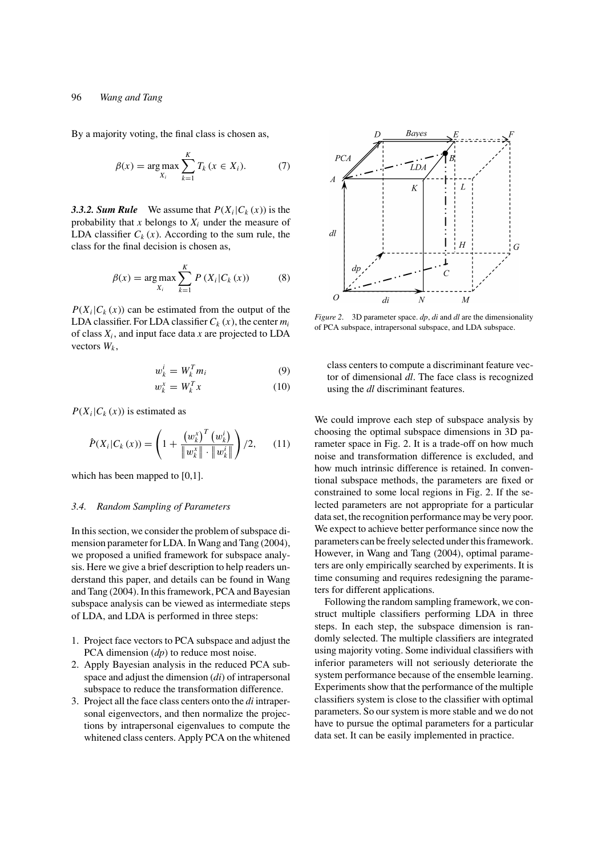# 96 *Wang and Tang*

By a majority voting, the final class is chosen as,

$$
\beta(x) = \arg \max_{X_i} \sum_{k=1}^{K} T_k \, (x \in X_i). \tag{7}
$$

**3.3.2. Sum Rule** We assume that  $P(X_i|C_k(x))$  is the probability that  $x$  belongs to  $X_i$  under the measure of LDA classifier  $C_k(x)$ . According to the sum rule, the class for the final decision is chosen as,

$$
\beta(x) = \arg \max_{X_i} \sum_{k=1}^{K} P(X_i | C_k(x))
$$
 (8)

 $P(X_i|C_k(x))$  can be estimated from the output of the LDA classifier. For LDA classifier  $C_k(x)$ , the center  $m_i$ of class *Xi* , and input face data *x* are projected to LDA vectors  $W_k$ ,

$$
w_k^i = W_k^T m_i \tag{9}
$$

$$
w_k^x = W_k^T x \tag{10}
$$

 $P(X_i|C_k(x))$  is estimated as

$$
\hat{P}(X_i|C_k(x)) = \left(1 + \frac{(w_k^x)^T (w_k^i)}{\|w_k^x\| \cdot \|w_k^i\|}\right) / 2, \qquad (11)
$$

which has been mapped to [0,1].

### *3.4. Random Sampling of Parameters*

In this section, we consider the problem of subspace dimension parameter for LDA. In Wang and Tang (2004), we proposed a unified framework for subspace analysis. Here we give a brief description to help readers understand this paper, and details can be found in Wang and Tang (2004). In this framework, PCA and Bayesian subspace analysis can be viewed as intermediate steps of LDA, and LDA is performed in three steps:

- 1. Project face vectors to PCA subspace and adjust the PCA dimension (*dp*) to reduce most noise.
- 2. Apply Bayesian analysis in the reduced PCA subspace and adjust the dimension (*di*) of intrapersonal subspace to reduce the transformation difference.
- 3. Project all the face class centers onto the *di* intrapersonal eigenvectors, and then normalize the projections by intrapersonal eigenvalues to compute the whitened class centers. Apply PCA on the whitened



*Figure 2*. 3D parameter space. *dp*, *di* and *dl* are the dimensionality of PCA subspace, intrapersonal subspace, and LDA subspace.

class centers to compute a discriminant feature vector of dimensional *dl*. The face class is recognized using the *dl* discriminant features.

We could improve each step of subspace analysis by choosing the optimal subspace dimensions in 3D parameter space in Fig. 2. It is a trade-off on how much noise and transformation difference is excluded, and how much intrinsic difference is retained. In conventional subspace methods, the parameters are fixed or constrained to some local regions in Fig. 2. If the selected parameters are not appropriate for a particular data set, the recognition performance may be very poor. We expect to achieve better performance since now the parameters can be freely selected under this framework. However, in Wang and Tang (2004), optimal parameters are only empirically searched by experiments. It is time consuming and requires redesigning the parameters for different applications.

Following the random sampling framework, we construct multiple classifiers performing LDA in three steps. In each step, the subspace dimension is randomly selected. The multiple classifiers are integrated using majority voting. Some individual classifiers with inferior parameters will not seriously deteriorate the system performance because of the ensemble learning. Experiments show that the performance of the multiple classifiers system is close to the classifier with optimal parameters. So our system is more stable and we do not have to pursue the optimal parameters for a particular data set. It can be easily implemented in practice.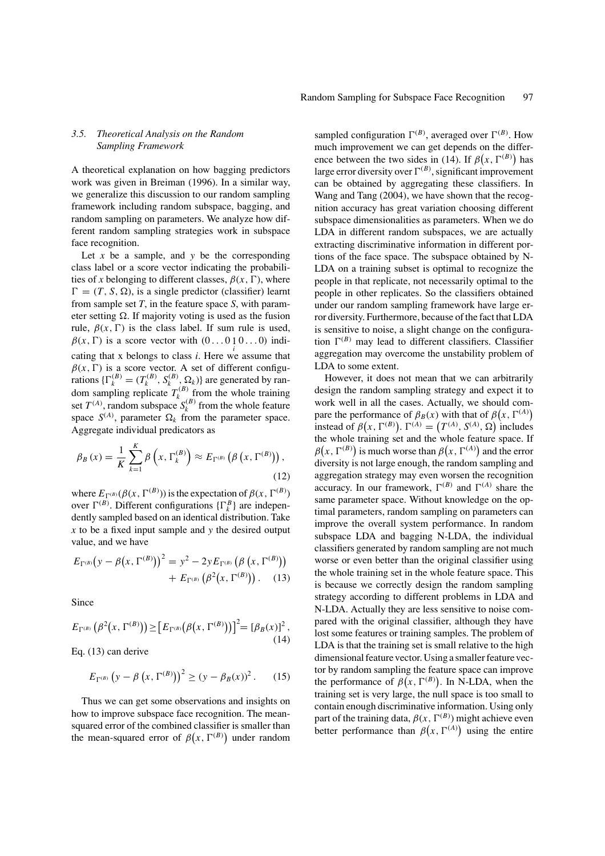# *3.5. Theoretical Analysis on the Random Sampling Framework*

A theoretical explanation on how bagging predictors work was given in Breiman (1996). In a similar way, we generalize this discussion to our random sampling framework including random subspace, bagging, and random sampling on parameters. We analyze how different random sampling strategies work in subspace face recognition.

Let  $x$  be a sample, and  $y$  be the corresponding class label or a score vector indicating the probabilities of *x* belonging to different classes,  $\beta(x, \Gamma)$ , where  $\Gamma = (T, S, \Omega)$ , is a single predictor (classifier) learnt from sample set *T*, in the feature space *S*, with parameter setting  $\Omega$ . If majority voting is used as the fusion rule,  $\beta(x, \Gamma)$  is the class label. If sum rule is used,  $\beta(x, \Gamma)$  is a score vector with  $(0 \dots 0 \, 1 \, 0 \dots 0)$  indi*i* cating that x belongs to class *i*. Here we assume that  $\beta(x, \Gamma)$  is a score vector. A set of different configurations  $\{\Gamma_k^{(B)} = (T_k^{(B)}, S_k^{(B)}, \Omega_k)\}\$  are generated by random sampling replicate  $T_k^{(B)}$  from the whole training set  $T^{(A)}$ , random subspace  $S_k^{(B)}$  from the whole feature space  $S^{(A)}$ , parameter  $\Omega_k$  from the parameter space. Aggregate individual predicators as

$$
\beta_B(x) = \frac{1}{K} \sum_{k=1}^{K} \beta\left(x, \Gamma_k^{(B)}\right) \approx E_{\Gamma^{(B)}}\left(\beta\left(x, \Gamma^{(B)}\right)\right),\tag{12}
$$

where  $E_{\Gamma^{(B)}}(\beta(x, \Gamma^{(B)}))$  is the expectation of  $\beta(x, \Gamma^{(B)})$ over  $\Gamma^{(B)}$ . Different configurations  $\{\Gamma_k^B\}$  are independently sampled based on an identical distribution. Take *x* to be a fixed input sample and *y* the desired output value, and we have

$$
E_{\Gamma^{(B)}}(y - \beta(x, \Gamma^{(B)}))^2 = y^2 - 2y E_{\Gamma^{(B)}}(\beta(x, \Gamma^{(B)})) + E_{\Gamma^{(B)}}(\beta^2(x, \Gamma^{(B)})).
$$
 (13)

Since

$$
E_{\Gamma^{(B)}}(\beta^2(x,\Gamma^{(B)})) \ge [E_{\Gamma^{(B)}}(\beta(x,\Gamma^{(B)}))]^2 = [\beta_B(x)]^2,
$$
\n(14)

Eq. (13) can derive

$$
E_{\Gamma^{(B)}}(y - \beta (x, \Gamma^{(B)}))^2 \ge (y - \beta_B(x))^2.
$$
 (15)

Thus we can get some observations and insights on how to improve subspace face recognition. The meansquared error of the combined classifier is smaller than the mean-squared error of  $\beta(x, \Gamma^{(B)})$  under random

sampled configuration  $\Gamma^{(B)}$ , averaged over  $\Gamma^{(B)}$ . How much improvement we can get depends on the difference between the two sides in (14). If  $\beta(x, \Gamma^{(B)})$  has large error diversity over  $\Gamma^{(B)}$ , significant improvement can be obtained by aggregating these classifiers. In Wang and Tang (2004), we have shown that the recognition accuracy has great variation choosing different subspace dimensionalities as parameters. When we do LDA in different random subspaces, we are actually extracting discriminative information in different portions of the face space. The subspace obtained by N-LDA on a training subset is optimal to recognize the people in that replicate, not necessarily optimal to the people in other replicates. So the classifiers obtained under our random sampling framework have large error diversity. Furthermore, because of the fact that LDA is sensitive to noise, a slight change on the configuration  $\Gamma^{(B)}$  may lead to different classifiers. Classifier aggregation may overcome the unstability problem of LDA to some extent.

However, it does not mean that we can arbitrarily design the random sampling strategy and expect it to work well in all the cases. Actually, we should compare the performance of  $\beta_B(x)$  with that of  $\beta(x, \Gamma^{(A)})$ instead of  $\beta(x, \Gamma^{(B)})$ .  $\Gamma^{(A)} = (T^{(A)}, S^{(A)}, \Omega)$  includes the whole training set and the whole feature space. If  $\beta(x, \Gamma^{(B)})$  is much worse than  $\beta(x, \Gamma^{(A)})$  and the error diversity is not large enough, the random sampling and aggregation strategy may even worsen the recognition accuracy. In our framework,  $\Gamma^{(B)}$  and  $\Gamma^{(A)}$  share the same parameter space. Without knowledge on the optimal parameters, random sampling on parameters can improve the overall system performance. In random subspace LDA and bagging N-LDA, the individual classifiers generated by random sampling are not much worse or even better than the original classifier using the whole training set in the whole feature space. This is because we correctly design the random sampling strategy according to different problems in LDA and N-LDA. Actually they are less sensitive to noise compared with the original classifier, although they have lost some features or training samples. The problem of LDA is that the training set is small relative to the high dimensional feature vector. Using a smaller feature vector by random sampling the feature space can improve the performance of  $\beta(x, \Gamma^{(B)})$ . In N-LDA, when the training set is very large, the null space is too small to contain enough discriminative information. Using only part of the training data,  $\beta(x, \Gamma^{(B)})$  might achieve even better performance than  $\beta(x, \Gamma^{(A)})$  using the entire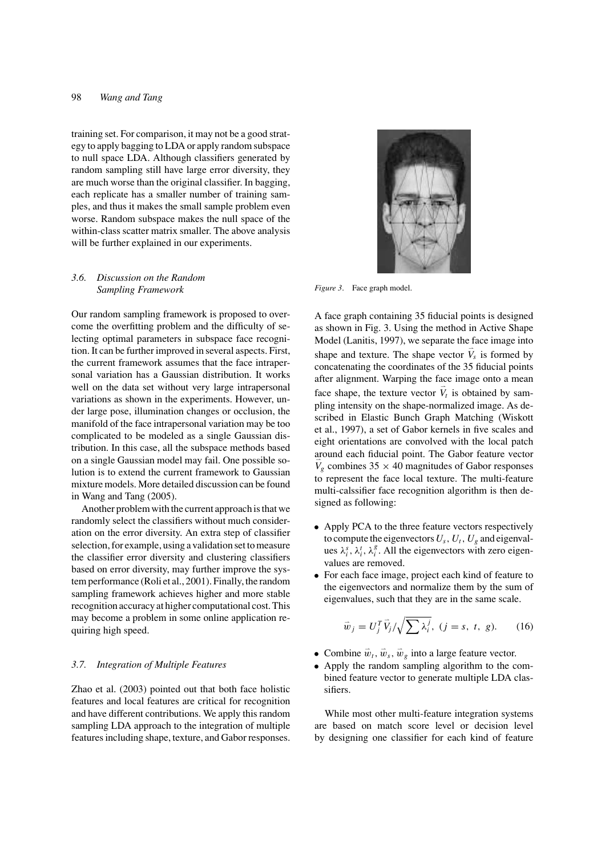training set. For comparison, it may not be a good strategy to apply bagging to LDA or apply random subspace to null space LDA. Although classifiers generated by random sampling still have large error diversity, they are much worse than the original classifier. In bagging, each replicate has a smaller number of training samples, and thus it makes the small sample problem even worse. Random subspace makes the null space of the within-class scatter matrix smaller. The above analysis will be further explained in our experiments.

# *3.6. Discussion on the Random Sampling Framework*

Our random sampling framework is proposed to overcome the overfitting problem and the difficulty of selecting optimal parameters in subspace face recognition. It can be further improved in several aspects. First, the current framework assumes that the face intrapersonal variation has a Gaussian distribution. It works well on the data set without very large intrapersonal variations as shown in the experiments. However, under large pose, illumination changes or occlusion, the manifold of the face intrapersonal variation may be too complicated to be modeled as a single Gaussian distribution. In this case, all the subspace methods based on a single Gaussian model may fail. One possible solution is to extend the current framework to Gaussian mixture models. More detailed discussion can be found in Wang and Tang (2005).

Another problem with the current approach is that we randomly select the classifiers without much consideration on the error diversity. An extra step of classifier selection, for example, using a validation set to measure the classifier error diversity and clustering classifiers based on error diversity, may further improve the system performance (Roli et al., 2001). Finally, the random sampling framework achieves higher and more stable recognition accuracy at higher computational cost. This may become a problem in some online application requiring high speed.

### *3.7. Integration of Multiple Features*

Zhao et al. (2003) pointed out that both face holistic features and local features are critical for recognition and have different contributions. We apply this random sampling LDA approach to the integration of multiple features including shape, texture, and Gabor responses.



*Figure 3*. Face graph model.

A face graph containing 35 fiducial points is designed as shown in Fig. 3. Using the method in Active Shape Model (Lanitis, 1997), we separate the face image into shape and texture. The shape vector  $\vec{V}_s$  is formed by concatenating the coordinates of the 35 fiducial points after alignment. Warping the face image onto a mean face shape, the texture vector  $\vec{V}_t$  is obtained by sampling intensity on the shape-normalized image. As described in Elastic Bunch Graph Matching (Wiskott et al., 1997), a set of Gabor kernels in five scales and eight orientations are convolved with the local patch around each fiducial point. The Gabor feature vector  $\vec{V}_g$  combines 35  $\times$  40 magnitudes of Gabor responses to represent the face local texture. The multi-feature multi-calssifier face recognition algorithm is then designed as following:

- Apply PCA to the three feature vectors respectively to compute the eigenvectors  $U_s$ ,  $U_t$ ,  $U_g$  and eigenvalues  $\lambda_i^s$ ,  $\lambda_i^t$ ,  $\lambda_i^g$ . All the eigenvectors with zero eigenvalues are removed.
- For each face image, project each kind of feature to the eigenvectors and normalize them by the sum of eigenvalues, such that they are in the same scale.

$$
\vec{w}_j = U_j^T \vec{V}_j / \sqrt{\sum \lambda_i^j}, \ (j = s, t, g). \tag{16}
$$

- Combine  $\vec{w}_t$ ,  $\vec{w}_s$ ,  $\vec{w}_g$  into a large feature vector.
- Apply the random sampling algorithm to the combined feature vector to generate multiple LDA classifiers.

While most other multi-feature integration systems are based on match score level or decision level by designing one classifier for each kind of feature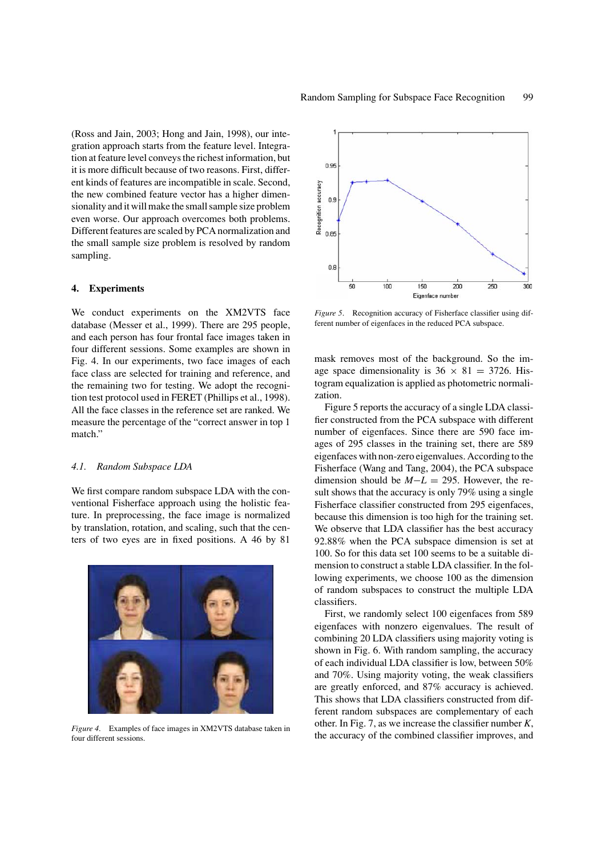(Ross and Jain, 2003; Hong and Jain, 1998), our integration approach starts from the feature level. Integration at feature level conveys the richest information, but it is more difficult because of two reasons. First, different kinds of features are incompatible in scale. Second, the new combined feature vector has a higher dimensionality and it will make the small sample size problem even worse. Our approach overcomes both problems.

#### **4. Experiments**

sampling.

We conduct experiments on the XM2VTS face database (Messer et al., 1999). There are 295 people, and each person has four frontal face images taken in four different sessions. Some examples are shown in Fig. 4. In our experiments, two face images of each face class are selected for training and reference, and the remaining two for testing. We adopt the recognition test protocol used in FERET (Phillips et al., 1998). All the face classes in the reference set are ranked. We measure the percentage of the "correct answer in top 1 match."

Different features are scaled by PCA normalization and the small sample size problem is resolved by random

#### *4.1. Random Subspace LDA*

We first compare random subspace LDA with the conventional Fisherface approach using the holistic feature. In preprocessing, the face image is normalized by translation, rotation, and scaling, such that the centers of two eyes are in fixed positions. A 46 by 81



*Figure 4*. Examples of face images in XM2VTS database taken in four different sessions.



*Figure 5*. Recognition accuracy of Fisherface classifier using different number of eigenfaces in the reduced PCA subspace.

mask removes most of the background. So the image space dimensionality is  $36 \times 81 = 3726$ . Histogram equalization is applied as photometric normalization.

Figure 5 reports the accuracy of a single LDA classifier constructed from the PCA subspace with different number of eigenfaces. Since there are 590 face images of 295 classes in the training set, there are 589 eigenfaces with non-zero eigenvalues. According to the Fisherface (Wang and Tang, 2004), the PCA subspace dimension should be *M*−*L* = 295. However, the result shows that the accuracy is only 79% using a single Fisherface classifier constructed from 295 eigenfaces, because this dimension is too high for the training set. We observe that LDA classifier has the best accuracy 92.88% when the PCA subspace dimension is set at 100. So for this data set 100 seems to be a suitable dimension to construct a stable LDA classifier. In the following experiments, we choose 100 as the dimension of random subspaces to construct the multiple LDA classifiers.

First, we randomly select 100 eigenfaces from 589 eigenfaces with nonzero eigenvalues. The result of combining 20 LDA classifiers using majority voting is shown in Fig. 6. With random sampling, the accuracy of each individual LDA classifier is low, between 50% and 70%. Using majority voting, the weak classifiers are greatly enforced, and 87% accuracy is achieved. This shows that LDA classifiers constructed from different random subspaces are complementary of each other. In Fig. 7, as we increase the classifier number *K*, the accuracy of the combined classifier improves, and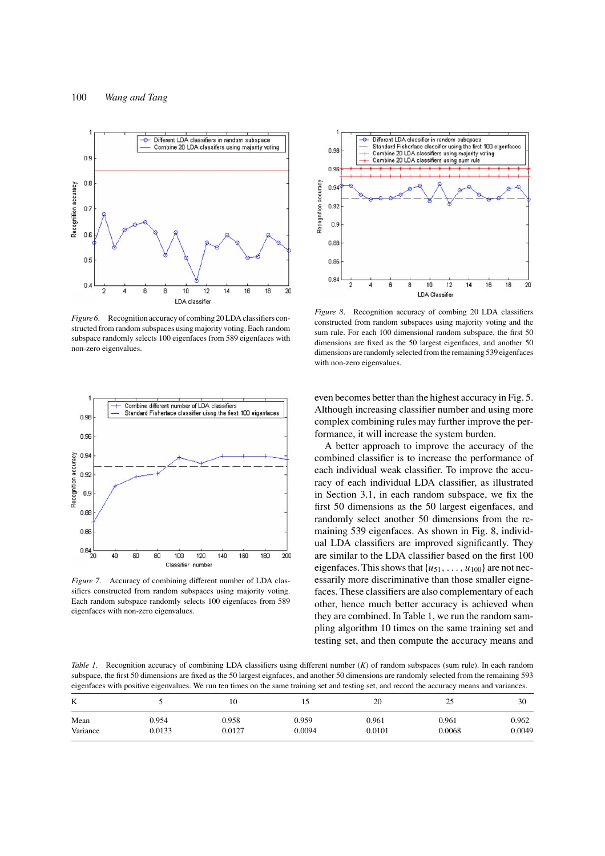

*Figure 6*. Recognition accuracy of combing 20 LDA classifiers constructed from random subspaces using majority voting. Each random subspace randomly selects 100 eigenfaces from 589 eigenfaces with non-zero eigenvalues.



*Figure 7*. Accuracy of combining different number of LDA classifiers constructed from random subspaces using majority voting. Each random subspace randomly selects 100 eigenfaces from 589 eigenfaces with non-zero eigenvalues.



*Figure 8*. Recognition accuracy of combing 20 LDA classifiers constructed from random subspaces using majority voting and the sum rule. For each 100 dimensional random subspace, the first 50 dimensions are fixed as the 50 largest eigenfaces, and another 50 dimensions are randomly selected from the remaining 539 eigenfaces with non-zero eigenvalues.

even becomes better than the highest accuracy in Fig. 5. Although increasing classifier number and using more complex combining rules may further improve the performance, it will increase the system burden.

A better approach to improve the accuracy of the combined classifier is to increase the performance of each individual weak classifier. To improve the accuracy of each individual LDA classifier, as illustrated in Section 3.1, in each random subspace, we fix the first 50 dimensions as the 50 largest eigenfaces, and randomly select another 50 dimensions from the remaining 539 eigenfaces. As shown in Fig. 8, individual LDA classifiers are improved significantly. They are similar to the LDA classifier based on the first 100 eigenfaces. This shows that  $\{u_{51}, \ldots, u_{100}\}$  are not necessarily more discriminative than those smaller eignefaces. These classifiers are also complementary of each other, hence much better accuracy is achieved when they are combined. In Table 1, we run the random sampling algorithm 10 times on the same training set and testing set, and then compute the accuracy means and

*Table 1*. Recognition accuracy of combining LDA classifiers using different number (*K*) of random subspaces (sum rule). In each random subspace, the first 50 dimensions are fixed as the 50 largest eignfaces, and another 50 dimensions are randomly selected from the remaining 593 eigenfaces with positive eigenvalues. We run ten times on the same training set and testing set, and record the accuracy means and variances.

| K        |        | 10     |        | 20     | 25     | 30     |
|----------|--------|--------|--------|--------|--------|--------|
| Mean     | 0.954  | 0.958  | 0.959  | 0.961  | 0.961  | 0.962  |
| Variance | 0.0133 | 0.0127 | 0.0094 | 0.0101 | 0.0068 | 0.0049 |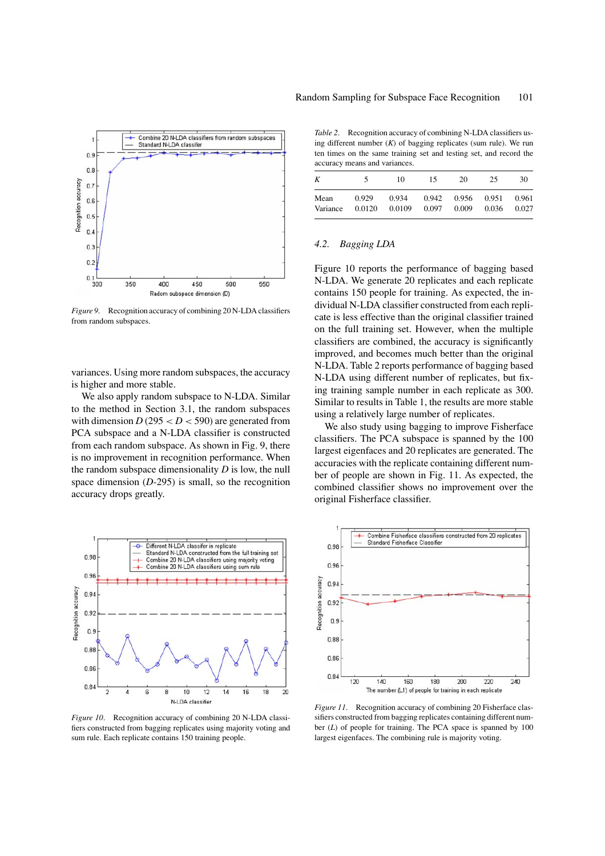

*Figure 9*. Recognition accuracy of combining 20 N-LDA classifiers from random subspaces.

variances. Using more random subspaces, the accuracy is higher and more stable.

We also apply random subspace to N-LDA. Similar to the method in Section 3.1, the random subspaces with dimension  $D(295 < D < 590)$  are generated from PCA subspace and a N-LDA classifier is constructed from each random subspace. As shown in Fig. 9, there is no improvement in recognition performance. When the random subspace dimensionality *D* is low, the null space dimension (*D*-295) is small, so the recognition accuracy drops greatly.



*Figure 10*. Recognition accuracy of combining 20 N-LDA classifiers constructed from bagging replicates using majority voting and sum rule. Each replicate contains 150 training people.

*Table 2*. Recognition accuracy of combining N-LDA classifiers using different number (*K*) of bagging replicates (sum rule). We run ten times on the same training set and testing set, and record the accuracy means and variances.

|          | ৲      | 10     | 15    | 20    | 25    | 30    |
|----------|--------|--------|-------|-------|-------|-------|
| Mean     | 0.929  | 0.934  | 0.942 | 0.956 | 0.951 | 0.961 |
| Variance | 0.0120 | 0.0109 | 0.097 | 0.009 | 0.036 | 0.027 |

#### *4.2. Bagging LDA*

Figure 10 reports the performance of bagging based N-LDA. We generate 20 replicates and each replicate contains 150 people for training. As expected, the individual N-LDA classifier constructed from each replicate is less effective than the original classifier trained on the full training set. However, when the multiple classifiers are combined, the accuracy is significantly improved, and becomes much better than the original N-LDA. Table 2 reports performance of bagging based N-LDA using different number of replicates, but fixing training sample number in each replicate as 300. Similar to results in Table 1, the results are more stable using a relatively large number of replicates.

We also study using bagging to improve Fisherface classifiers. The PCA subspace is spanned by the 100 largest eigenfaces and 20 replicates are generated. The accuracies with the replicate containing different number of people are shown in Fig. 11. As expected, the combined classifier shows no improvement over the original Fisherface classifier.



*Figure 11*. Recognition accuracy of combining 20 Fisherface classifiers constructed from bagging replicates containing different number (*L*) of people for training. The PCA space is spanned by 100 largest eigenfaces. The combining rule is majority voting.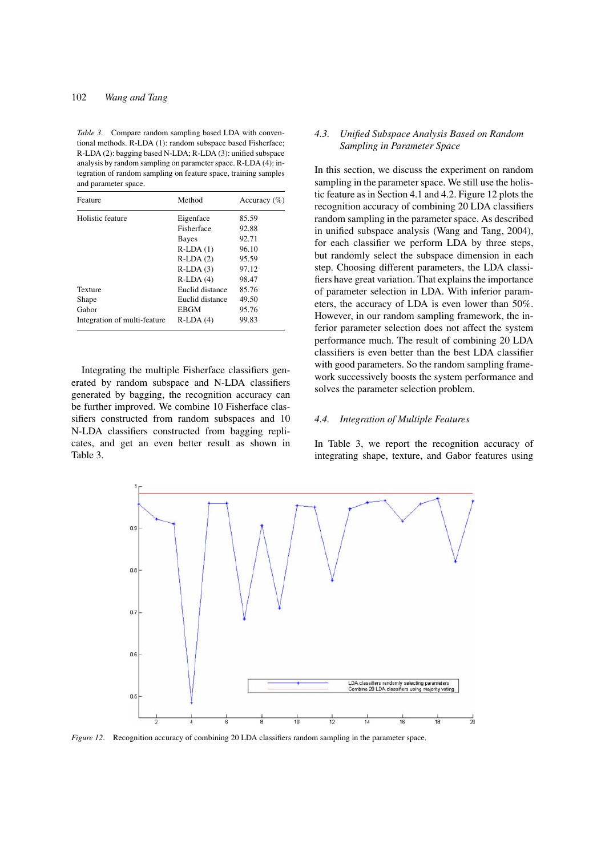# 102 *Wang and Tang*

*Table 3*. Compare random sampling based LDA with conventional methods. R-LDA (1): random subspace based Fisherface; R-LDA (2): bagging based N-LDA; R-LDA (3): unified subspace analysis by random sampling on parameter space. R-LDA (4): integration of random sampling on feature space, training samples and parameter space.

| Feature                      | Method          | Accuracy $(\% )$ |  |  |
|------------------------------|-----------------|------------------|--|--|
| Holistic feature             | Eigenface       | 85.59            |  |  |
|                              | Fisherface      | 92.88            |  |  |
|                              | <b>Bayes</b>    | 92.71            |  |  |
|                              | $R-LDA(1)$      | 96.10            |  |  |
|                              | $R-LDA(2)$      | 95.59            |  |  |
|                              | $R-LDA(3)$      | 97.12            |  |  |
|                              | $R-LDA(4)$      | 98.47            |  |  |
| Texture                      | Euclid distance | 85.76            |  |  |
| Shape                        | Euclid distance | 49.50            |  |  |
| Gabor                        | <b>EBGM</b>     | 95.76            |  |  |
| Integration of multi-feature | $R-LDA(4)$      | 99.83            |  |  |

Integrating the multiple Fisherface classifiers generated by random subspace and N-LDA classifiers generated by bagging, the recognition accuracy can be further improved. We combine 10 Fisherface classifiers constructed from random subspaces and 10 N-LDA classifiers constructed from bagging replicates, and get an even better result as shown in Table 3.

# *4.3. Unified Subspace Analysis Based on Random Sampling in Parameter Space*

In this section, we discuss the experiment on random sampling in the parameter space. We still use the holistic feature as in Section 4.1 and 4.2. Figure 12 plots the recognition accuracy of combining 20 LDA classifiers random sampling in the parameter space. As described in unified subspace analysis (Wang and Tang, 2004), for each classifier we perform LDA by three steps, but randomly select the subspace dimension in each step. Choosing different parameters, the LDA classifiers have great variation. That explains the importance of parameter selection in LDA. With inferior parameters, the accuracy of LDA is even lower than 50%. However, in our random sampling framework, the inferior parameter selection does not affect the system performance much. The result of combining 20 LDA classifiers is even better than the best LDA classifier with good parameters. So the random sampling framework successively boosts the system performance and solves the parameter selection problem.

### *4.4. Integration of Multiple Features*

In Table 3, we report the recognition accuracy of integrating shape, texture, and Gabor features using



*Figure 12.* Recognition accuracy of combining 20 LDA classifiers random sampling in the parameter space.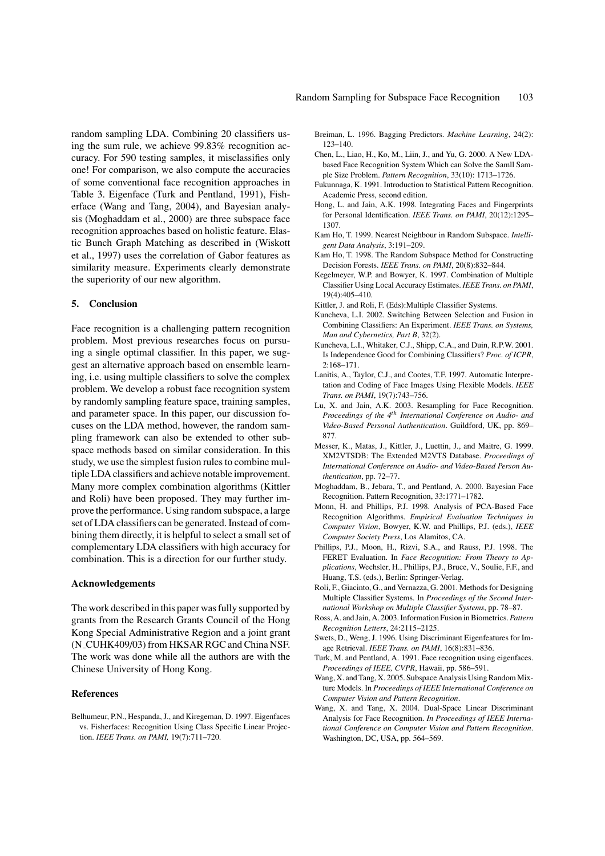random sampling LDA. Combining 20 classifiers using the sum rule, we achieve 99.83% recognition accuracy. For 590 testing samples, it misclassifies only one! For comparison, we also compute the accuracies of some conventional face recognition approaches in Table 3. Eigenface (Turk and Pentland, 1991), Fisherface (Wang and Tang, 2004), and Bayesian analysis (Moghaddam et al., 2000) are three subspace face recognition approaches based on holistic feature. Elastic Bunch Graph Matching as described in (Wiskott et al., 1997) uses the correlation of Gabor features as similarity measure. Experiments clearly demonstrate the superiority of our new algorithm.

# **5. Conclusion**

Face recognition is a challenging pattern recognition problem. Most previous researches focus on pursuing a single optimal classifier. In this paper, we suggest an alternative approach based on ensemble learning, i.e. using multiple classifiers to solve the complex problem. We develop a robust face recognition system by randomly sampling feature space, training samples, and parameter space. In this paper, our discussion focuses on the LDA method, however, the random sampling framework can also be extended to other subspace methods based on similar consideration. In this study, we use the simplest fusion rules to combine multiple LDA classifiers and achieve notable improvement. Many more complex combination algorithms (Kittler and Roli) have been proposed. They may further improve the performance. Using random subspace, a large set of LDA classifiers can be generated. Instead of combining them directly, it is helpful to select a small set of complementary LDA classifiers with high accuracy for combination. This is a direction for our further study.

### **Acknowledgements**

The work described in this paper was fully supported by grants from the Research Grants Council of the Hong Kong Special Administrative Region and a joint grant (N CUHK409/03) from HKSAR RGC and China NSF. The work was done while all the authors are with the Chinese University of Hong Kong.

### **References**

Belhumeur, P.N., Hespanda, J., and Kiregeman, D. 1997. Eigenfaces vs. Fisherfaces: Recognition Using Class Specific Linear Projection. *IEEE Trans. on PAMI,* 19(7):711–720.

- Breiman, L. 1996. Bagging Predictors. *Machine Learning*, 24(2): 123–140.
- Chen, L., Liao, H., Ko, M., Liin, J., and Yu, G. 2000. A New LDAbased Face Recognition System Which can Solve the Samll Sample Size Problem. *Pattern Recognition*, 33(10): 1713–1726.
- Fukunnaga, K. 1991. Introduction to Statistical Pattern Recognition. Academic Press, second edition.
- Hong, L. and Jain, A.K. 1998. Integrating Faces and Fingerprints for Personal Identification. *IEEE Trans. on PAMI*, 20(12):1295– 1307.
- Kam Ho, T. 1999. Nearest Neighbour in Random Subspace. *Intelligent Data Analysis*, 3:191–209.
- Kam Ho, T. 1998. The Random Subspace Method for Constructing Decision Forests. *IEEE Trans. on PAMI*, 20(8):832–844.
- Kegelmeyer, W.P. and Bowyer, K. 1997. Combination of Multiple Classifier Using Local Accuracy Estimates. *IEEE Trans. on PAMI*, 19(4):405–410.
- Kittler, J. and Roli, F. (Eds):Multiple Classifier Systems.
- Kuncheva, L.I. 2002. Switching Between Selection and Fusion in Combining Classifiers: An Experiment. *IEEE Trans. on Systems, Man and Cybernetics, Part B*, 32(2).
- Kuncheva, L.I., Whitaker, C.J., Shipp, C.A., and Duin, R.P.W. 2001. Is Independence Good for Combining Classifiers? *Proc. of ICPR*, 2:168–171.
- Lanitis, A., Taylor, C.J., and Cootes, T.F. 1997. Automatic Interpretation and Coding of Face Images Using Flexible Models. *IEEE Trans. on PAMI*, 19(7):743–756.
- Lu, X. and Jain, A.K. 2003. Resampling for Face Recognition. *Proceedings of the 4th International Conference on Audio- and Video-Based Personal Authentication*. Guildford, UK, pp. 869– 877.
- Messer, K., Matas, J., Kittler, J., Luettin, J., and Maitre, G. 1999. XM2VTSDB: The Extended M2VTS Database. *Proceedings of International Conference on Audio- and Video-Based Person Authentication*, pp. 72–77.
- Moghaddam, B., Jebara, T., and Pentland, A. 2000. Bayesian Face Recognition. Pattern Recognition, 33:1771–1782.
- Monn, H. and Phillips, P.J. 1998. Analysis of PCA-Based Face Recognition Algorithms. *Empirical Evaluation Techniques in Computer Vision*, Bowyer, K.W. and Phillips, P.J. (eds.), *IEEE Computer Society Press*, Los Alamitos, CA.
- Phillips, P.J., Moon, H., Rizvi, S.A., and Rauss, P.J. 1998. The FERET Evaluation. In *Face Recognition: From Theory to Applications*, Wechsler, H., Phillips, P.J., Bruce, V., Soulie, F.F., and Huang, T.S. (eds.), Berlin: Springer-Verlag.
- Roli, F., Giacinto, G., and Vernazza, G. 2001. Methods for Designing Multiple Classifier Systems. In *Proceedings of the Second International Workshop on Multiple Classifier Systems*, pp. 78–87.
- Ross, A. and Jain, A. 2003. Information Fusion in Biometrics.*Pattern Recognition Letters*, 24:2115–2125.
- Swets, D., Weng, J. 1996. Using Discriminant Eigenfeatures for Image Retrieval. *IEEE Trans. on PAMI*, 16(8):831–836.
- Turk, M. and Pentland, A. 1991. Face recognition using eigenfaces. *Proceedings of IEEE, CVPR*, Hawaii, pp. 586–591.
- Wang, X. and Tang, X. 2005. Subspace Analysis Using Random Mixture Models. In *Proceedings of IEEE International Conference on Computer Vision and Pattern Recognition*.
- Wang, X. and Tang, X. 2004. Dual-Space Linear Discriminant Analysis for Face Recognition. *In Proceedings of IEEE International Conference on Computer Vision and Pattern Recognition*. Washington, DC, USA, pp. 564–569.